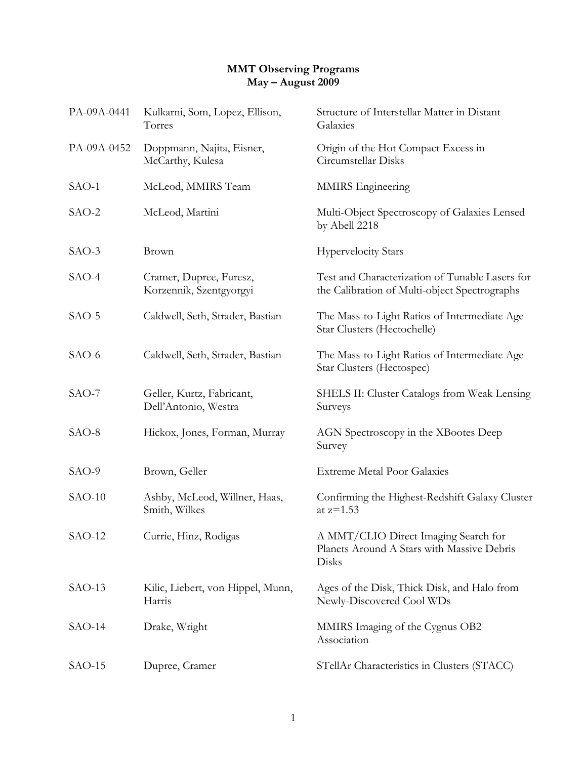## **MMT Observing Programs May – August 2009**

| PA-09A-0441 | Kulkarni, Som, Lopez, Ellison,<br>Torres           | Structure of Interstellar Matter in Distant<br>Galaxies                                          |
|-------------|----------------------------------------------------|--------------------------------------------------------------------------------------------------|
| PA-09A-0452 | Doppmann, Najita, Eisner,<br>McCarthy, Kulesa      | Origin of the Hot Compact Excess in<br>Circumstellar Disks                                       |
| SAO-1       | McLeod, MMIRS Team                                 | <b>MMIRS</b> Engineering                                                                         |
| SAO-2       | McLeod, Martini                                    | Multi-Object Spectroscopy of Galaxies Lensed<br>by Abell 2218                                    |
| $SAO-3$     | <b>Brown</b>                                       | <b>Hypervelocity Stars</b>                                                                       |
| SAO-4       | Cramer, Dupree, Furesz,<br>Korzennik, Szentgyorgyi | Test and Characterization of Tunable Lasers for<br>the Calibration of Multi-object Spectrographs |
| $SAO-5$     | Caldwell, Seth, Strader, Bastian                   | The Mass-to-Light Ratios of Intermediate Age<br>Star Clusters (Hectochelle)                      |
| $SAO-6$     | Caldwell, Seth, Strader, Bastian                   | The Mass-to-Light Ratios of Intermediate Age<br>Star Clusters (Hectospec)                        |
| $SAO-7$     | Geller, Kurtz, Fabricant,<br>Dell'Antonio, Westra  | SHELS II: Cluster Catalogs from Weak Lensing<br>Surveys                                          |
| SAO-8       | Hickox, Jones, Forman, Murray                      | AGN Spectroscopy in the XBootes Deep<br>Survey                                                   |
| SAO-9       | Brown, Geller                                      | <b>Extreme Metal Poor Galaxies</b>                                                               |
| $SAO-10$    | Ashby, McLeod, Willner, Haas,<br>Smith, Wilkes     | Confirming the Highest-Redshift Galaxy Cluster<br>at $z=1.53$                                    |
| $SAO-12$    | Currie, Hinz, Rodigas                              | A MMT/CLIO Direct Imaging Search for<br>Planets Around A Stars with Massive Debris<br>Disks      |
| $SAO-13$    | Kilic, Liebert, von Hippel, Munn,<br>Harris        | Ages of the Disk, Thick Disk, and Halo from<br>Newly-Discovered Cool WDs                         |
| $SAO-14$    | Drake, Wright                                      | MMIRS Imaging of the Cygnus OB2<br>Association                                                   |
| $SAO-15$    | Dupree, Cramer                                     | STellAr Characteristics in Clusters (STACC)                                                      |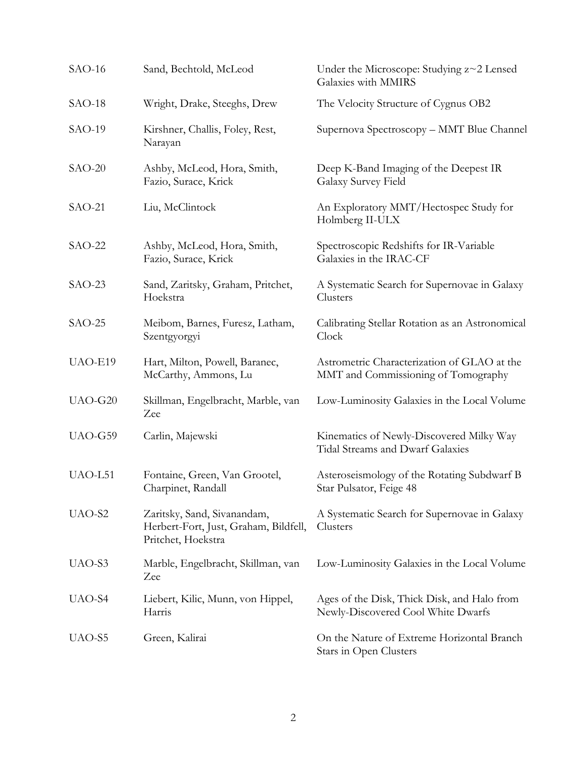| $SAO-16$ | Sand, Bechtold, McLeod                                                                     | Under the Microscope: Studying z~2 Lensed<br>Galaxies with MMIRS                    |
|----------|--------------------------------------------------------------------------------------------|-------------------------------------------------------------------------------------|
| $SAO-18$ | Wright, Drake, Steeghs, Drew                                                               | The Velocity Structure of Cygnus OB2                                                |
| $SAO-19$ | Kirshner, Challis, Foley, Rest,<br>Narayan                                                 | Supernova Spectroscopy - MMT Blue Channel                                           |
| $SAO-20$ | Ashby, McLeod, Hora, Smith,<br>Fazio, Surace, Krick                                        | Deep K-Band Imaging of the Deepest IR<br>Galaxy Survey Field                        |
| $SAO-21$ | Liu, McClintock                                                                            | An Exploratory MMT/Hectospec Study for<br>Holmberg II-ULX                           |
| $SAO-22$ | Ashby, McLeod, Hora, Smith,<br>Fazio, Surace, Krick                                        | Spectroscopic Redshifts for IR-Variable<br>Galaxies in the IRAC-CF                  |
| $SAO-23$ | Sand, Zaritsky, Graham, Pritchet,<br>Hoekstra                                              | A Systematic Search for Supernovae in Galaxy<br>Clusters                            |
| $SAO-25$ | Meibom, Barnes, Furesz, Latham,<br>Szentgyorgyi                                            | Calibrating Stellar Rotation as an Astronomical<br>Clock                            |
| UAO-E19  | Hart, Milton, Powell, Baranec,<br>McCarthy, Ammons, Lu                                     | Astrometric Characterization of GLAO at the<br>MMT and Commissioning of Tomography  |
| UAO-G20  | Skillman, Engelbracht, Marble, van<br>Zee                                                  | Low-Luminosity Galaxies in the Local Volume                                         |
| UAO-G59  | Carlin, Majewski                                                                           | Kinematics of Newly-Discovered Milky Way<br><b>Tidal Streams and Dwarf Galaxies</b> |
| UAO-L51  | Fontaine, Green, Van Grootel,<br>Charpinet, Randall                                        | Asteroseismology of the Rotating Subdwarf B<br>Star Pulsator, Feige 48              |
| UAO-S2   | Zaritsky, Sand, Sivanandam,<br>Herbert-Fort, Just, Graham, Bildfell,<br>Pritchet, Hoekstra | A Systematic Search for Supernovae in Galaxy<br>Clusters                            |
| UAO-S3   | Marble, Engelbracht, Skillman, van<br>Zee                                                  | Low-Luminosity Galaxies in the Local Volume                                         |
| UAO-S4   | Liebert, Kilic, Munn, von Hippel,<br>Harris                                                | Ages of the Disk, Thick Disk, and Halo from<br>Newly-Discovered Cool White Dwarfs   |
| UAO-S5   | Green, Kalirai                                                                             | On the Nature of Extreme Horizontal Branch<br>Stars in Open Clusters                |